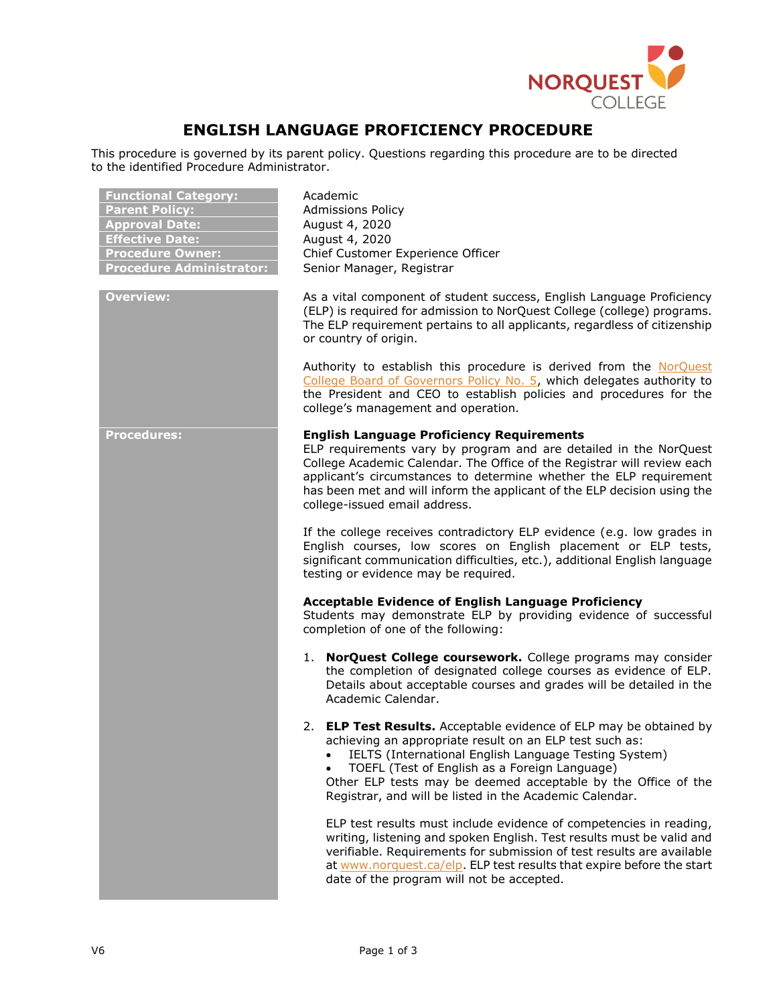

## **ENGLISH LANGUAGE PROFICIENCY PROCEDURE**

This procedure is governed by its parent policy. Questions regarding this procedure are to be directed to the identified Procedure Administrator.

| <b>Functional Category:</b><br><b>Parent Policy:</b><br><b>Approval Date:</b><br><b>Effective Date:</b><br><b>Procedure Owner:</b><br><b>Procedure Administrator:</b> | Academic<br><b>Admissions Policy</b><br>August 4, 2020<br>August 4, 2020<br>Chief Customer Experience Officer<br>Senior Manager, Registrar                                                                                                                                                                                                                                          |
|-----------------------------------------------------------------------------------------------------------------------------------------------------------------------|-------------------------------------------------------------------------------------------------------------------------------------------------------------------------------------------------------------------------------------------------------------------------------------------------------------------------------------------------------------------------------------|
| <b>Overview:</b>                                                                                                                                                      | As a vital component of student success, English Language Proficiency<br>(ELP) is required for admission to NorQuest College (college) programs.<br>The ELP requirement pertains to all applicants, regardless of citizenship<br>or country of origin.                                                                                                                              |
|                                                                                                                                                                       | Authority to establish this procedure is derived from the NorQuest<br>College Board of Governors Policy No. 5, which delegates authority to<br>the President and CEO to establish policies and procedures for the<br>college's management and operation.                                                                                                                            |
| <b>Procedures:</b>                                                                                                                                                    | <b>English Language Proficiency Requirements</b><br>ELP requirements vary by program and are detailed in the NorQuest<br>College Academic Calendar. The Office of the Registrar will review each<br>applicant's circumstances to determine whether the ELP requirement<br>has been met and will inform the applicant of the ELP decision using the<br>college-issued email address. |
|                                                                                                                                                                       | If the college receives contradictory ELP evidence (e.g. low grades in<br>English courses, low scores on English placement or ELP tests,<br>significant communication difficulties, etc.), additional English language<br>testing or evidence may be required.                                                                                                                      |
|                                                                                                                                                                       | <b>Acceptable Evidence of English Language Proficiency</b><br>Students may demonstrate ELP by providing evidence of successful<br>completion of one of the following:                                                                                                                                                                                                               |
|                                                                                                                                                                       | 1. NorQuest College coursework. College programs may consider<br>the completion of designated college courses as evidence of ELP.<br>Details about acceptable courses and grades will be detailed in the<br>Academic Calendar.                                                                                                                                                      |
|                                                                                                                                                                       | 2. ELP Test Results. Acceptable evidence of ELP may be obtained by<br>achieving an appropriate result on an ELP test such as:<br>IELTS (International English Language Testing System)<br>TOEFL (Test of English as a Foreign Language)<br>Other ELP tests may be deemed acceptable by the Office of the<br>Registrar, and will be listed in the Academic Calendar.                 |
|                                                                                                                                                                       | ELP test results must include evidence of competencies in reading,<br>writing, listening and spoken English. Test results must be valid and<br>verifiable. Requirements for submission of test results are available<br>at www.norquest.ca/elp. ELP test results that expire before the start<br>date of the program will not be accepted.                                          |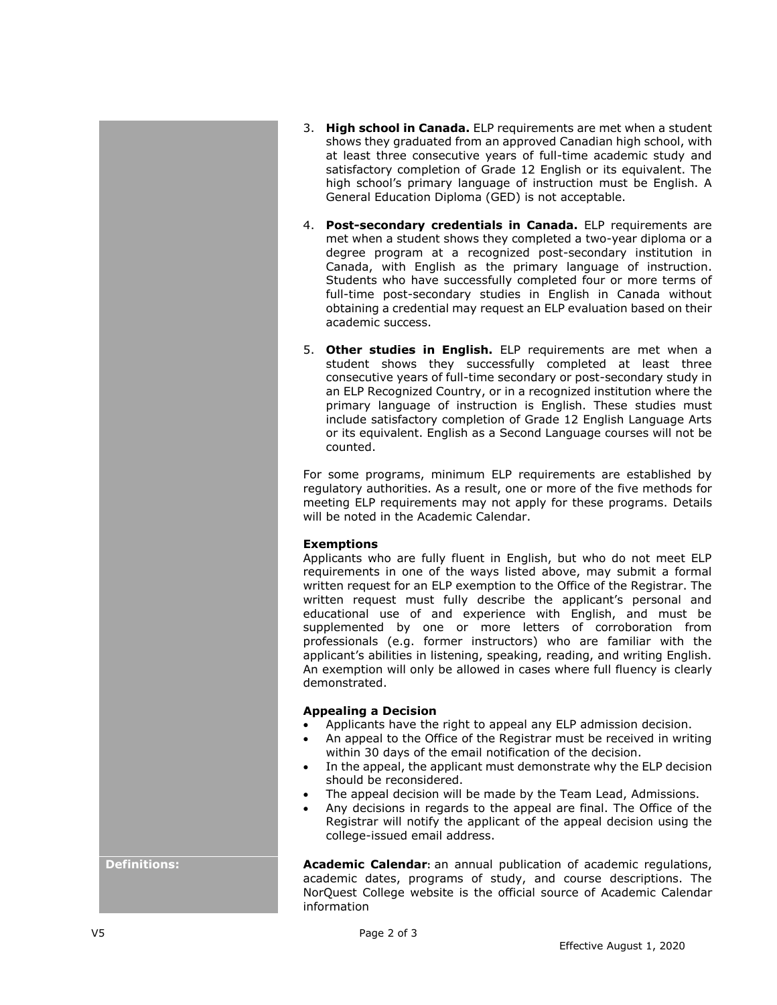- 3. **High school in Canada.** ELP requirements are met when a student shows they graduated from an approved Canadian high school, with at least three consecutive years of full-time academic study and satisfactory completion of Grade 12 English or its equivalent. The high school's primary language of instruction must be English. A General Education Diploma (GED) is not acceptable.
- 4. **Post-secondary credentials in Canada.** ELP requirements are met when a student shows they completed a two-year diploma or a degree program at a recognized post-secondary institution in Canada, with English as the primary language of instruction. Students who have successfully completed four or more terms of full-time post-secondary studies in English in Canada without obtaining a credential may request an ELP evaluation based on their academic success.
- 5. **Other studies in English.** ELP requirements are met when a student shows they successfully completed at least three consecutive years of full-time secondary or post-secondary study in an ELP Recognized Country, or in a recognized institution where the primary language of instruction is English. These studies must include satisfactory completion of Grade 12 English Language Arts or its equivalent. English as a Second Language courses will not be counted.

For some programs, minimum ELP requirements are established by regulatory authorities. As a result, one or more of the five methods for meeting ELP requirements may not apply for these programs. Details will be noted in the Academic Calendar.

## **Exemptions**

Applicants who are fully fluent in English, but who do not meet ELP requirements in one of the ways listed above, may submit a formal written request for an ELP exemption to the Office of the Registrar. The written request must fully describe the applicant's personal and educational use of and experience with English, and must be supplemented by one or more letters of corroboration from professionals (e.g. former instructors) who are familiar with the applicant's abilities in listening, speaking, reading, and writing English. An exemption will only be allowed in cases where full fluency is clearly demonstrated.

## **Appealing a Decision**

- Applicants have the right to appeal any ELP admission decision.
- An appeal to the Office of the Registrar must be received in writing within 30 days of the email notification of the decision.
- In the appeal, the applicant must demonstrate why the ELP decision should be reconsidered.
- The appeal decision will be made by the Team Lead, Admissions.
- Any decisions in regards to the appeal are final. The Office of the Registrar will notify the applicant of the appeal decision using the college-issued email address.

**Definitions: Academic Calendar**: an annual publication of academic regulations, academic dates, programs of study, and course descriptions. The NorQuest College website is the official source of Academic Calendar information